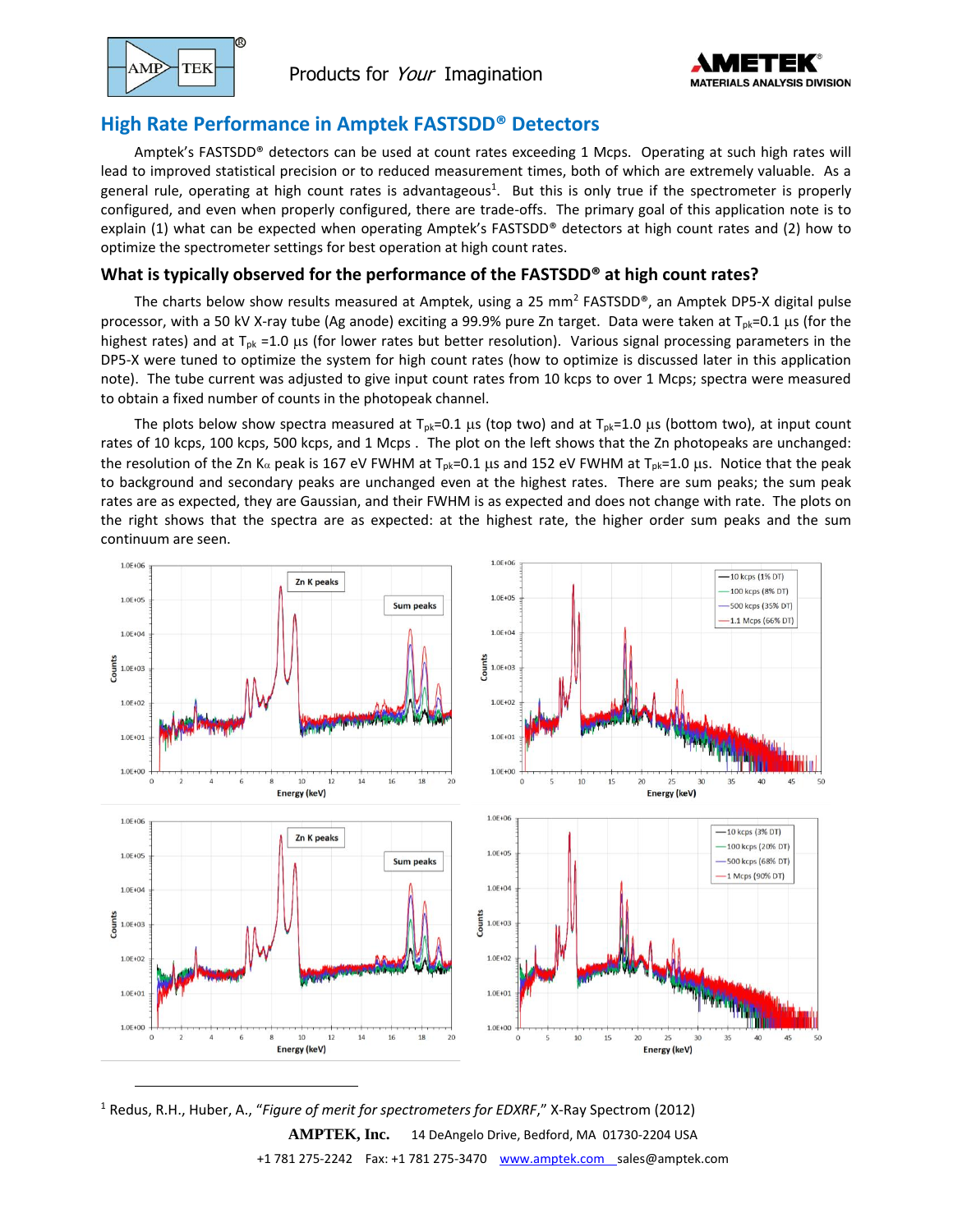

# **High Rate Performance in Amptek FASTSDD® Detectors**

Amptek's FASTSDD® detectors can be used at count rates exceeding 1 Mcps. Operating at such high rates will lead to improved statistical precision or to reduced measurement times, both of which are extremely valuable. As a general rule, operating at high count rates is advantageous<sup>1</sup>. But this is only true if the spectrometer is properly configured, and even when properly configured, there are trade-offs. The primary goal of this application note is to explain (1) what can be expected when operating Amptek's FASTSDD® detectors at high count rates and (2) how to optimize the spectrometer settings for best operation at high count rates.

# **What is typically observed for the performance of the FASTSDD® at high count rates?**

The charts below show results measured at Amptek, using a 25 mm<sup>2</sup> FASTSDD®, an Amptek DP5-X digital pulse processor, with a 50 kV X-ray tube (Ag anode) exciting a 99.9% pure Zn target. Data were taken at  $T_{pk}=0.1$  µs (for the highest rates) and at  $T_{pk}$  =1.0  $\mu$ s (for lower rates but better resolution). Various signal processing parameters in the DP5-X were tuned to optimize the system for high count rates (how to optimize is discussed later in this application note). The tube current was adjusted to give input count rates from 10 kcps to over 1 Mcps; spectra were measured to obtain a fixed number of counts in the photopeak channel.

The plots below show spectra measured at  $T_{pk}=0.1$  µs (top two) and at  $T_{pk}=1.0$  µs (bottom two), at input count rates of 10 kcps, 100 kcps, 500 kcps, and 1 Mcps . The plot on the left shows that the Zn photopeaks are unchanged: the resolution of the Zn K<sub>a</sub> peak is 167 eV FWHM at T<sub>pk</sub>=0.1 us and 152 eV FWHM at T<sub>pk</sub>=1.0 us. Notice that the peak to background and secondary peaks are unchanged even at the highest rates. There are sum peaks; the sum peak rates are as expected, they are Gaussian, and their FWHM is as expected and does not change with rate. The plots on the right shows that the spectra are as expected: at the highest rate, the higher order sum peaks and the sum continuum are seen.



**AMPTEK, Inc.** 14 DeAngelo Drive, Bedford, MA 01730-2204 USA +1 781 275-2242 Fax: +1 781 275-3470 [www.amptek.com](http://www.amptek.com/) sales@amptek.com <sup>1</sup> Redus, R.H., Huber, A., "*Figure of merit for spectrometers for EDXRF*," X-Ray Spectrom (2012)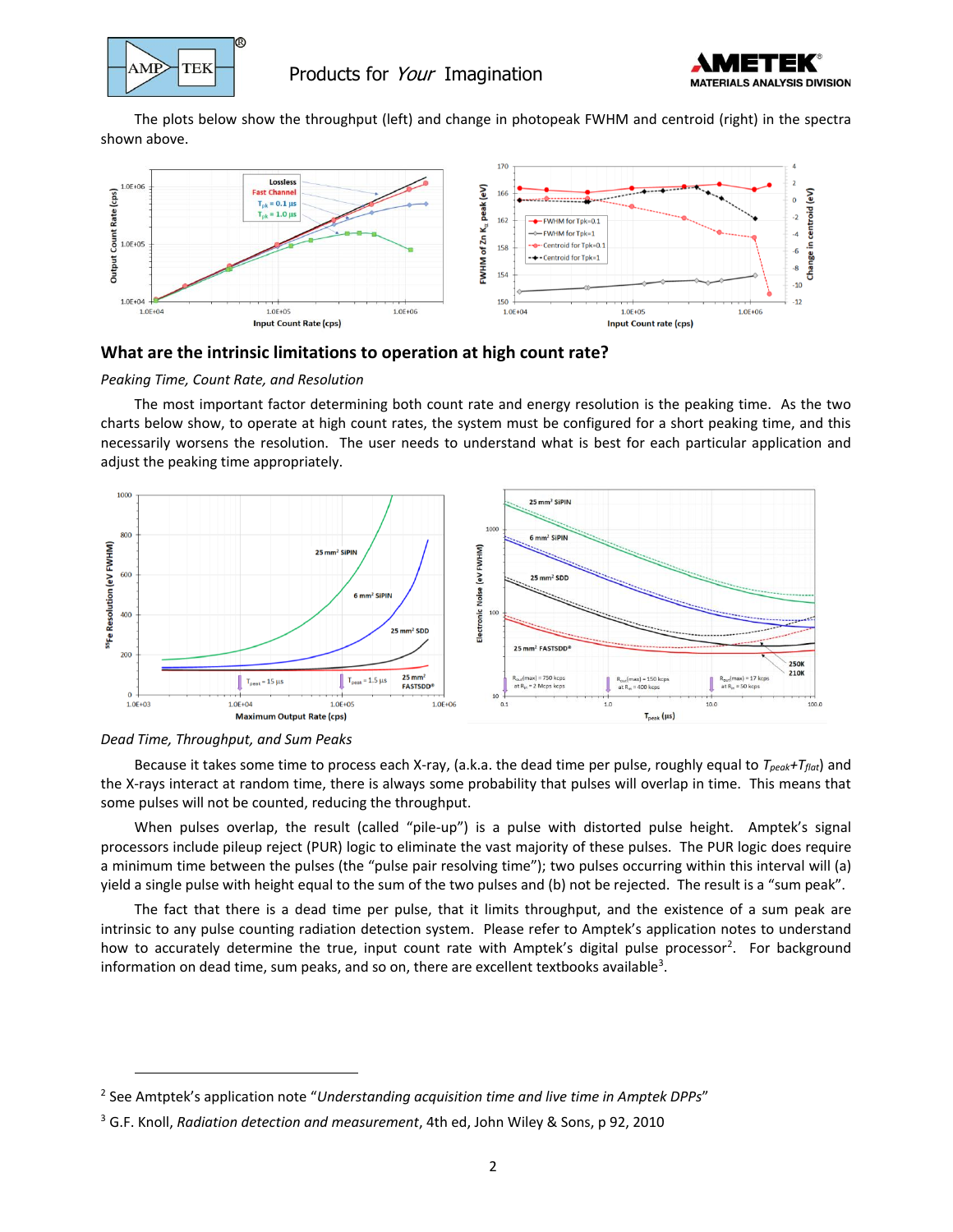

# $AMP$  TEK Products for *Your* Imagination



The plots below show the throughput (left) and change in photopeak FWHM and centroid (right) in the spectra shown above.



# **What are the intrinsic limitations to operation at high count rate?**

#### *Peaking Time, Count Rate, and Resolution*

The most important factor determining both count rate and energy resolution is the peaking time. As the two charts below show, to operate at high count rates, the system must be configured for a short peaking time, and this necessarily worsens the resolution. The user needs to understand what is best for each particular application and adjust the peaking time appropriately.





Because it takes some time to process each X-ray, (a.k.a. the dead time per pulse, roughly equal to *Tpeak+Tflat*) and the X-rays interact at random time, there is always some probability that pulses will overlap in time. This means that some pulses will not be counted, reducing the throughput.

When pulses overlap, the result (called "pile-up") is a pulse with distorted pulse height. Amptek's signal processors include pileup reject (PUR) logic to eliminate the vast majority of these pulses. The PUR logic does require a minimum time between the pulses (the "pulse pair resolving time"); two pulses occurring within this interval will (a) yield a single pulse with height equal to the sum of the two pulses and (b) not be rejected. The result is a "sum peak".

The fact that there is a dead time per pulse, that it limits throughput, and the existence of a sum peak are intrinsic to any pulse counting radiation detection system. Please refer to Amptek's application notes to understand how to accurately determine the true, input count rate with Amptek's digital pulse processor<sup>2</sup>. For background information on dead time, sum peaks, and so on, there are excellent textbooks available<sup>3</sup>.

<sup>2</sup> See Amtptek's application note "*Understanding acquisition time and live time in Amptek DPPs*"

<sup>3</sup> G.F. Knoll, *Radiation detection and measurement*, 4th ed, John Wiley & Sons, p 92, 2010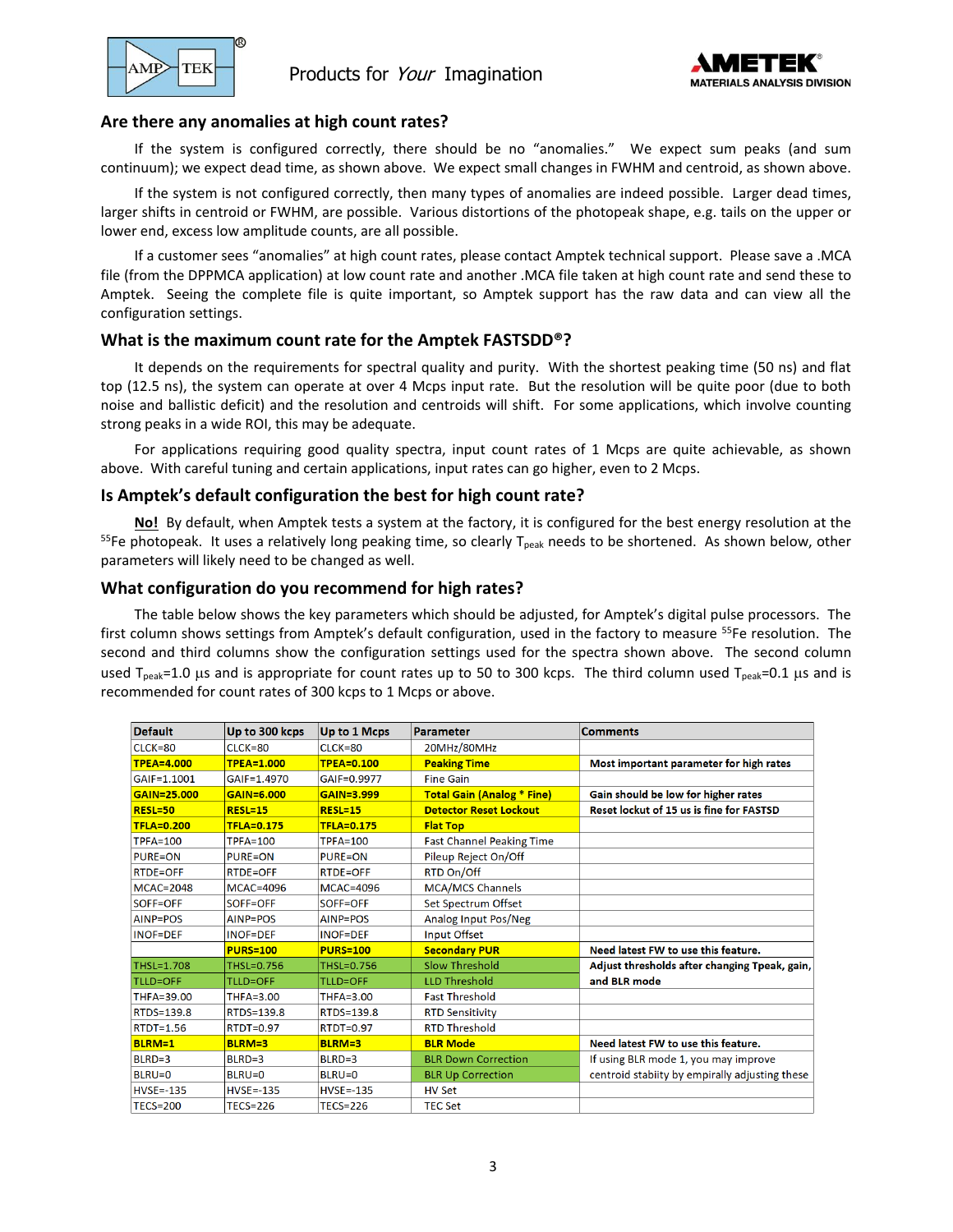

 $\mathbb{P}$  TEK Products for *Your* Imagination



## **Are there any anomalies at high count rates?**

If the system is configured correctly, there should be no "anomalies." We expect sum peaks (and sum continuum); we expect dead time, as shown above. We expect small changes in FWHM and centroid, as shown above.

If the system is not configured correctly, then many types of anomalies are indeed possible. Larger dead times, larger shifts in centroid or FWHM, are possible. Various distortions of the photopeak shape, e.g. tails on the upper or lower end, excess low amplitude counts, are all possible.

If a customer sees "anomalies" at high count rates, please contact Amptek technical support. Please save a .MCA file (from the DPPMCA application) at low count rate and another .MCA file taken at high count rate and send these to Amptek. Seeing the complete file is quite important, so Amptek support has the raw data and can view all the configuration settings.

## **What is the maximum count rate for the Amptek FASTSDD®?**

It depends on the requirements for spectral quality and purity. With the shortest peaking time (50 ns) and flat top (12.5 ns), the system can operate at over 4 Mcps input rate. But the resolution will be quite poor (due to both noise and ballistic deficit) and the resolution and centroids will shift. For some applications, which involve counting strong peaks in a wide ROI, this may be adequate.

For applications requiring good quality spectra, input count rates of 1 Mcps are quite achievable, as shown above. With careful tuning and certain applications, input rates can go higher, even to 2 Mcps.

# **Is Amptek's default configuration the best for high count rate?**

**No!** By default, when Amptek tests a system at the factory, it is configured for the best energy resolution at the <sup>55</sup>Fe photopeak. It uses a relatively long peaking time, so clearly T<sub>peak</sub> needs to be shortened. As shown below, other parameters will likely need to be changed as well.

## **What configuration do you recommend for high rates?**

The table below shows the key parameters which should be adjusted, for Amptek's digital pulse processors. The first column shows settings from Amptek's default configuration, used in the factory to measure <sup>55</sup>Fe resolution. The second and third columns show the configuration settings used for the spectra shown above. The second column used  $T_{peak}=1.0$  µs and is appropriate for count rates up to 50 to 300 kcps. The third column used  $T_{peak}=0.1$  µs and is recommended for count rates of 300 kcps to 1 Mcps or above.

| Default           | Up to 300 kcps    | Up to 1 Mcps      | Parameter                         | <b>Comments</b>                                |
|-------------------|-------------------|-------------------|-----------------------------------|------------------------------------------------|
| CLCK=80           | $CLCK=80$         | $CLCK=80$         | 20MHz/80MHz                       |                                                |
| <b>TPEA=4.000</b> | <b>TPEA=1.000</b> | <b>TPEA=0.100</b> | <b>Peaking Time</b>               | Most important parameter for high rates        |
| GAIF=1.1001       | GAIF=1.4970       | GAIF=0.9977       | <b>Fine Gain</b>                  |                                                |
| GAIN=25.000       | GAIN=6.000        | GAIN=3.999        | <b>Total Gain (Analog * Fine)</b> | Gain should be low for higher rates            |
| <b>RESL=50</b>    | $RESL=15$         | <b>RESL=15</b>    | <b>Detector Reset Lockout</b>     | Reset lockut of 15 us is fine for FASTSD       |
| <b>TFLA=0.200</b> | <b>TFLA=0.175</b> | <b>TFLA=0.175</b> | <b>Flat Top</b>                   |                                                |
| $TPFA=100$        | <b>TPFA=100</b>   | <b>TPFA=100</b>   | <b>Fast Channel Peaking Time</b>  |                                                |
| <b>PURE=ON</b>    | <b>PURE=ON</b>    | <b>PURE=ON</b>    | Pileup Reject On/Off              |                                                |
| <b>RTDE=OFF</b>   | <b>RTDE=OFF</b>   | <b>RTDE=OFF</b>   | RTD On/Off                        |                                                |
| <b>MCAC=2048</b>  | <b>MCAC=4096</b>  | <b>MCAC=4096</b>  | <b>MCA/MCS Channels</b>           |                                                |
| SOFF=OFF          | SOFF=OFF          | SOFF=OFF          | Set Spectrum Offset               |                                                |
| AINP=POS          | AINP=POS          | AINP=POS          | Analog Input Pos/Neg              |                                                |
| <b>INOF=DEF</b>   | <b>INOF=DEF</b>   | <b>INOF=DEF</b>   | Input Offset                      |                                                |
|                   | <b>PURS=100</b>   | <b>PURS=100</b>   | <b>Secondary PUR</b>              | Need latest FW to use this feature.            |
| THSL=1.708        | THSL=0.756        | THSL=0.756        | Slow Threshold                    | Adjust thresholds after changing Tpeak, gain,  |
| <b>TLLD=OFF</b>   | <b>TLLD=OFF</b>   | TLLD=OFF          | <b>LLD Threshold</b>              | and BLR mode                                   |
| THFA=39.00        | THFA=3.00         | THFA=3.00         | <b>Fast Threshold</b>             |                                                |
| RTDS=139.8        | RTDS=139.8        | RTDS=139.8        | <b>RTD Sensitivity</b>            |                                                |
| <b>RTDT=1.56</b>  | <b>RTDT=0.97</b>  | <b>RTDT=0.97</b>  | <b>RTD Threshold</b>              |                                                |
| <b>BLRM=1</b>     | <b>BLRM=3</b>     | <b>BLRM=3</b>     | <b>BLR Mode</b>                   | Need latest FW to use this feature.            |
| BLRD=3            | BLRD=3            | BLRD=3            | <b>BLR Down Correction</b>        | If using BLR mode 1, you may improve           |
| <b>BLRU=0</b>     | $BLRU=0$          | BLRU=0            | <b>BLR Up Correction</b>          | centroid stabiity by empirally adjusting these |
| <b>HVSE=-135</b>  | $HVSE = -135$     | $HVSE = -135$     | <b>HV Set</b>                     |                                                |
| <b>TECS=200</b>   | <b>TECS=226</b>   | <b>TECS=226</b>   | <b>TEC Set</b>                    |                                                |